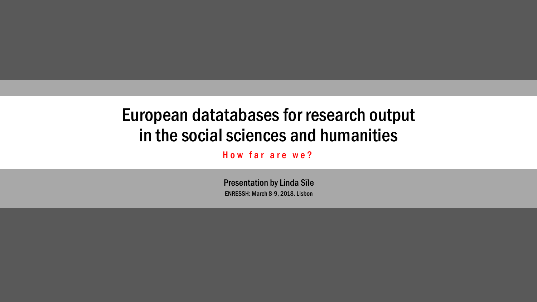## European datatabases for research output in the social sciences and humanities

How far are we?

ENRESSH: March 8-9, 2018. Lisbon Presentation by Linda Sīle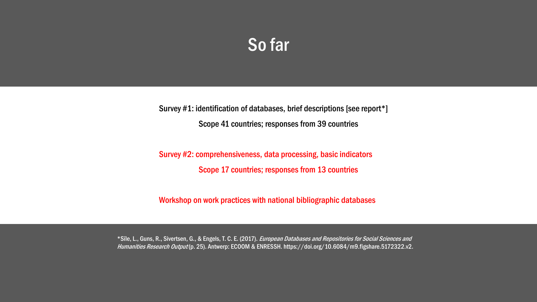## So far

Survey #1: identification of databases, brief descriptions [see report\*] Scope 41 countries; responses from 39 countries

Survey #2: comprehensiveness, data processing, basic indicators Scope 17 countries; responses from 13 countries

Workshop on work practices with national bibliographic databases

\*Sīle, L., Guns, R., Sivertsen, G., & Engels, T. C. E. (2017). European Databases and Repositories for Social Sciences and Humanities Research Output (p. 25). Antwerp: ECOOM & ENRESSH. https://doi.org/10.6084/m9.figshare.5172322.v2.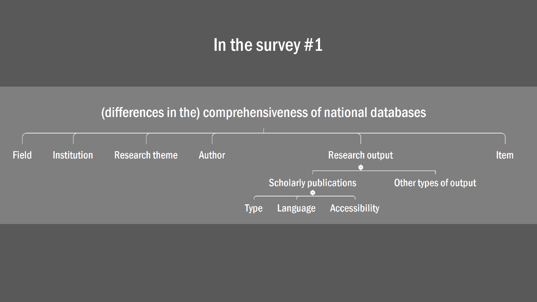## In the survey #1

#### (differences in the) comprehensiveness of national databases

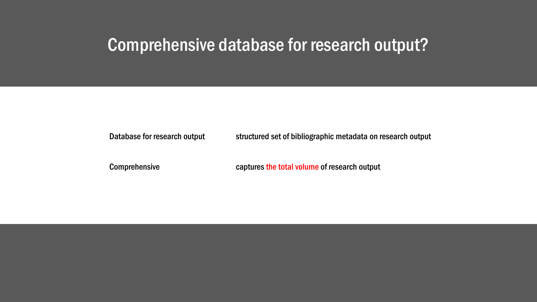#### Comprehensive database for research output?

Database for research output structured set of bibliographic metadata on research output

Comprehensive **captures** the total volume of research output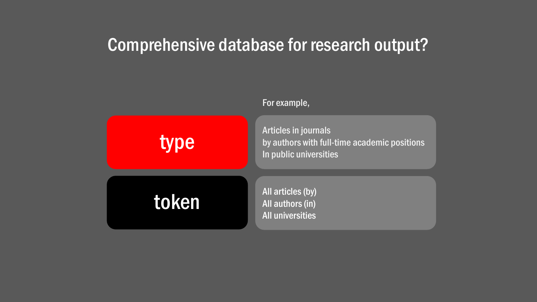### Comprehensive database for research output?

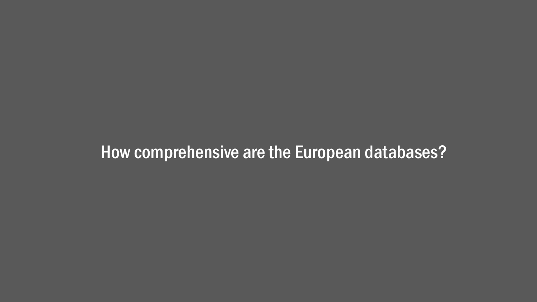## How comprehensive are the European databases?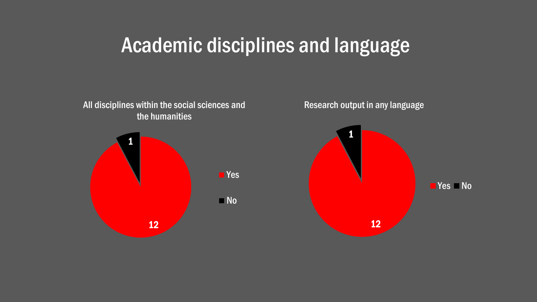## Academic disciplines and language

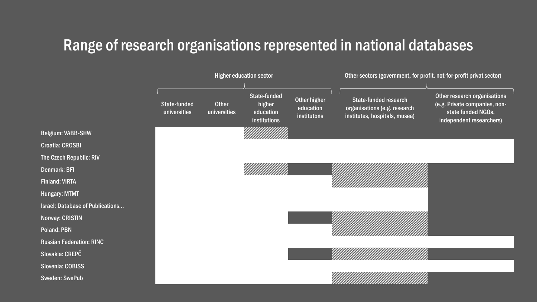#### Range of research organisations represented in national databases

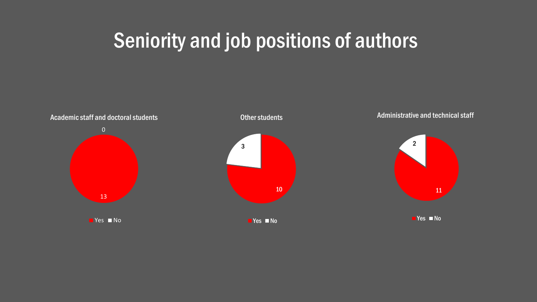# Seniority and job positions of authors

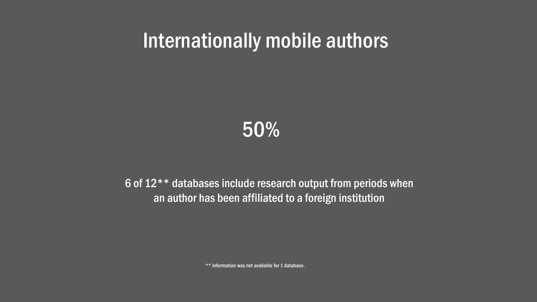# Internationally mobile authors

50%

6 of 12\*\* databases include research output from periods when an author has been affiliated to a foreign institution

\*\* Information was not available for 1 database.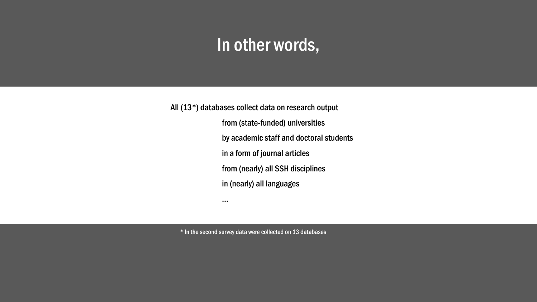## In other words,

All (13\*) databases collect data on research output from (state-funded) universities by academic staff and doctoral students in a form of journal articles from (nearly) all SSH disciplines in (nearly) all languages

\* In the second survey data were collected on 13 databases

…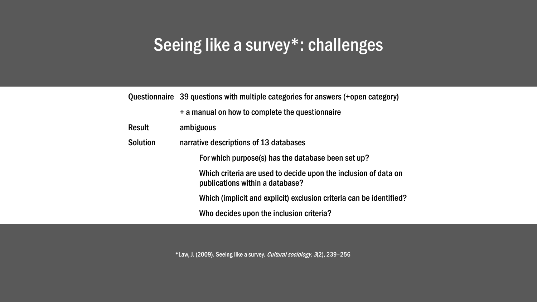## Seeing like a survey\*: challenges

|                 | Questionnaire 39 questions with multiple categories for answers (+open category)                   |  |
|-----------------|----------------------------------------------------------------------------------------------------|--|
|                 | + a manual on how to complete the questionnaire                                                    |  |
| <b>Result</b>   | ambiguous                                                                                          |  |
| <b>Solution</b> | narrative descriptions of 13 databases                                                             |  |
|                 | For which purpose(s) has the database been set up?                                                 |  |
|                 | Which criteria are used to decide upon the inclusion of data on<br>publications within a database? |  |
|                 | Which (implicit and explicit) exclusion criteria can be identified?                                |  |
|                 | Who decides upon the inclusion criteria?                                                           |  |

\*Law, J. (2009). Seeing like a survey. Cultural sociology, 3(2), 239–256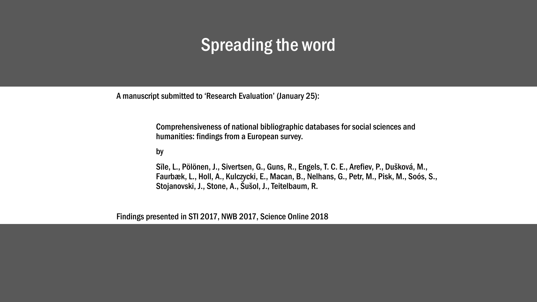## Spreading the word

A manuscript submitted to 'Research Evaluation' (January 25):

Comprehensiveness of national bibliographic databases for social sciences and humanities: findings from a European survey.

#### by

Sīle, L., Pölönen, J., Sivertsen, G., Guns, R., Engels, T. C. E., Arefiev, P., Dušková, M., Faurbæk, L., Holl, A., Kulczycki, E., Macan, B., Nelhans, G., Petr, M., Pisk, M., Soós, S., Stojanovski, J., Stone, A., Šušol, J., Teitelbaum, R.

Findings presented in STI 2017, NWB 2017, Science Online 2018